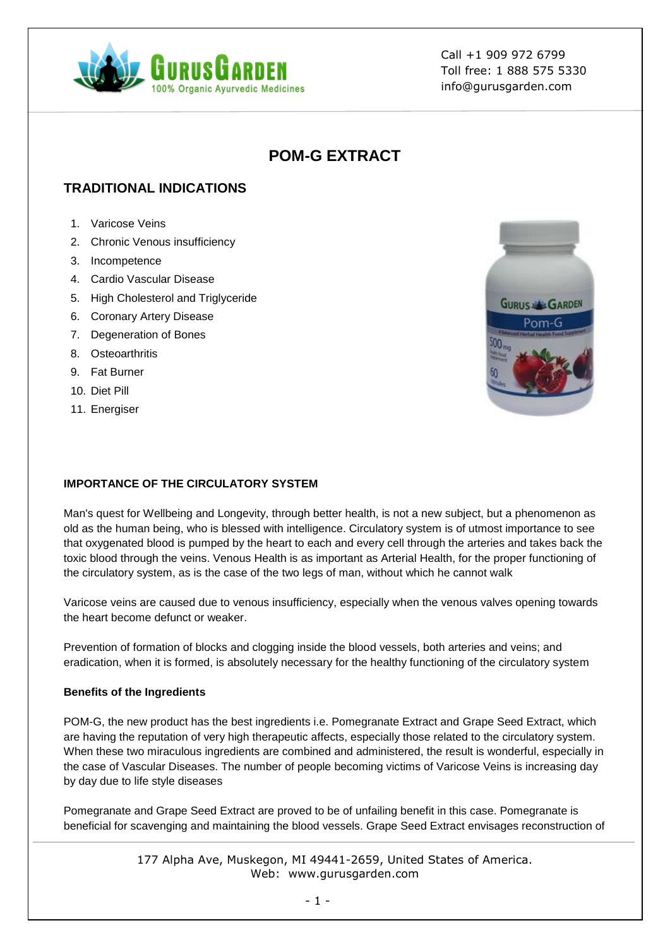

# **POM-G EXTRACT**

# **TRADITIONAL INDICATIONS**

- 1. Varicose Veins
- 2. Chronic Venous insufficiency
- 3. Incompetence
- 4. Cardio Vascular Disease
- 5. High Cholesterol and Triglyceride
- 6. Coronary Artery Disease
- 7. Degeneration of Bones
- 8. Osteoarthritis
- 9. Fat Burner
- 10. Diet Pill
- 11. Energiser



#### **IMPORTANCE OF THE CIRCULATORY SYSTEM**

Man's quest for Wellbeing and Longevity, through better health, is not a new subject, but a phenomenon as old as the human being, who is blessed with intelligence. Circulatory system is of utmost importance to see that oxygenated blood is pumped by the heart to each and every cell through the arteries and takes back the toxic blood through the veins. Venous Health is as important as Arterial Health, for the proper functioning of the circulatory system, as is the case of the two legs of man, without which he cannot walk

Varicose veins are caused due to venous insufficiency, especially when the venous valves opening towards the heart become defunct or weaker.

Prevention of formation of blocks and clogging inside the blood vessels, both arteries and veins; and eradication, when it is formed, is absolutely necessary for the healthy functioning of the circulatory system

#### **Benefits of the Ingredients**

POM-G, the new product has the best ingredients i.e. Pomegranate Extract and Grape Seed Extract, which are having the reputation of very high therapeutic affects, especially those related to the circulatory system. When these two miraculous ingredients are combined and administered, the result is wonderful, especially in the case of Vascular Diseases. The number of people becoming victims of Varicose Veins is increasing day by day due to life style diseases

Pomegranate and Grape Seed Extract are proved to be of unfailing benefit in this case. Pomegranate is beneficial for scavenging and maintaining the blood vessels. Grape Seed Extract envisages reconstruction of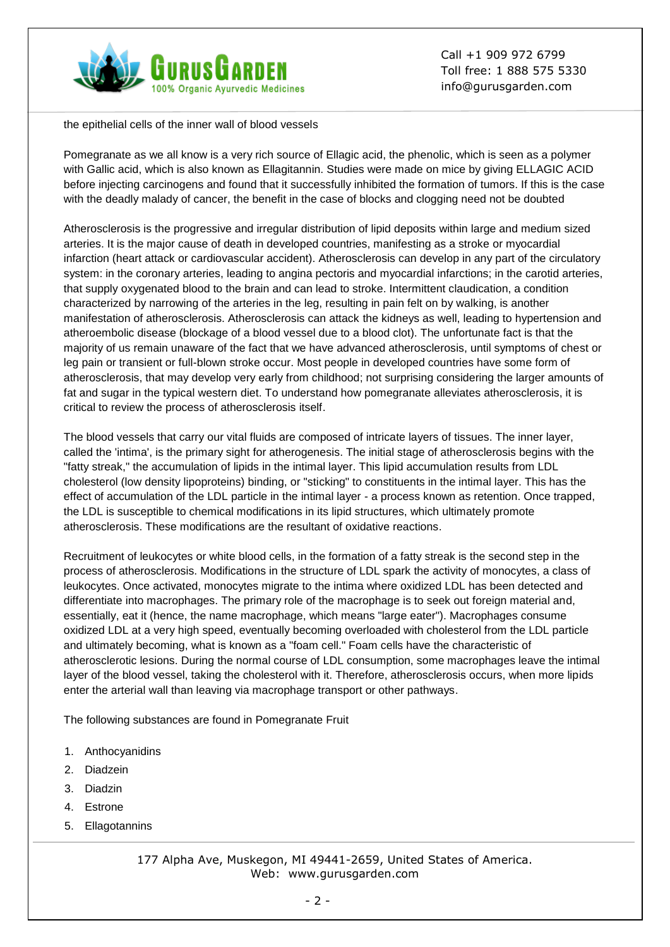

the epithelial cells of the inner wall of blood vessels

Pomegranate as we all know is a very rich source of Ellagic acid, the phenolic, which is seen as a polymer with Gallic acid, which is also known as Ellagitannin. Studies were made on mice by giving ELLAGIC ACID before injecting carcinogens and found that it successfully inhibited the formation of tumors. If this is the case with the deadly malady of cancer, the benefit in the case of blocks and clogging need not be doubted

Atherosclerosis is the progressive and irregular distribution of lipid deposits within large and medium sized arteries. It is the major cause of death in developed countries, manifesting as a stroke or myocardial infarction (heart attack or cardiovascular accident). Atherosclerosis can develop in any part of the circulatory system: in the coronary arteries, leading to angina pectoris and myocardial infarctions; in the carotid arteries, that supply oxygenated blood to the brain and can lead to stroke. Intermittent claudication, a condition characterized by narrowing of the arteries in the leg, resulting in pain felt on by walking, is another manifestation of atherosclerosis. Atherosclerosis can attack the kidneys as well, leading to hypertension and atheroembolic disease (blockage of a blood vessel due to a blood clot). The unfortunate fact is that the majority of us remain unaware of the fact that we have advanced atherosclerosis, until symptoms of chest or leg pain or transient or full-blown stroke occur. Most people in developed countries have some form of atherosclerosis, that may develop very early from childhood; not surprising considering the larger amounts of fat and sugar in the typical western diet. To understand how pomegranate alleviates atherosclerosis, it is critical to review the process of atherosclerosis itself.

The blood vessels that carry our vital fluids are composed of intricate layers of tissues. The inner layer, called the 'intima', is the primary sight for atherogenesis. The initial stage of atherosclerosis begins with the "fatty streak," the accumulation of lipids in the intimal layer. This lipid accumulation results from LDL cholesterol (low density lipoproteins) binding, or "sticking" to constituents in the intimal layer. This has the effect of accumulation of the LDL particle in the intimal layer - a process known as retention. Once trapped, the LDL is susceptible to chemical modifications in its lipid structures, which ultimately promote atherosclerosis. These modifications are the resultant of oxidative reactions.

Recruitment of leukocytes or white blood cells, in the formation of a fatty streak is the second step in the process of atherosclerosis. Modifications in the structure of LDL spark the activity of monocytes, a class of leukocytes. Once activated, monocytes migrate to the intima where oxidized LDL has been detected and differentiate into macrophages. The primary role of the macrophage is to seek out foreign material and, essentially, eat it (hence, the name macrophage, which means "large eater"). Macrophages consume oxidized LDL at a very high speed, eventually becoming overloaded with cholesterol from the LDL particle and ultimately becoming, what is known as a "foam cell." Foam cells have the characteristic of atherosclerotic lesions. During the normal course of LDL consumption, some macrophages leave the intimal layer of the blood vessel, taking the cholesterol with it. Therefore, atherosclerosis occurs, when more lipids enter the arterial wall than leaving via macrophage transport or other pathways.

The following substances are found in Pomegranate Fruit

- 1. Anthocyanidins
- 2. Diadzein
- 3. Diadzin
- 4. Estrone
- 5. Ellagotannins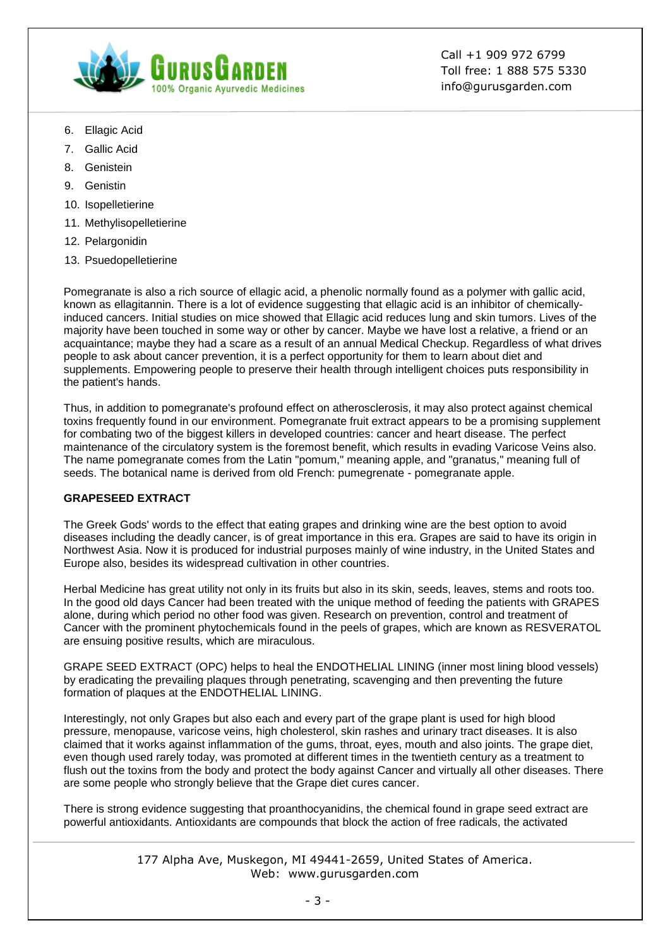

- 6. Ellagic Acid
- 7. Gallic Acid
- 8. Genistein
- 9. Genistin
- 10. Isopelletierine
- 11. Methylisopelletierine
- 12. Pelargonidin
- 13. Psuedopelletierine

Pomegranate is also a rich source of ellagic acid, a phenolic normally found as a polymer with gallic acid, known as ellagitannin. There is a lot of evidence suggesting that ellagic acid is an inhibitor of chemicallyinduced cancers. Initial studies on mice showed that Ellagic acid reduces lung and skin tumors. Lives of the majority have been touched in some way or other by cancer. Maybe we have lost a relative, a friend or an acquaintance; maybe they had a scare as a result of an annual Medical Checkup. Regardless of what drives people to ask about cancer prevention, it is a perfect opportunity for them to learn about diet and supplements. Empowering people to preserve their health through intelligent choices puts responsibility in the patient's hands.

Thus, in addition to pomegranate's profound effect on atherosclerosis, it may also protect against chemical toxins frequently found in our environment. Pomegranate fruit extract appears to be a promising supplement for combating two of the biggest killers in developed countries: cancer and heart disease. The perfect maintenance of the circulatory system is the foremost benefit, which results in evading Varicose Veins also. The name pomegranate comes from the Latin "pomum," meaning apple, and "granatus," meaning full of seeds. The botanical name is derived from old French: pumegrenate - pomegranate apple.

#### **GRAPESEED EXTRACT**

The Greek Gods' words to the effect that eating grapes and drinking wine are the best option to avoid diseases including the deadly cancer, is of great importance in this era. Grapes are said to have its origin in Northwest Asia. Now it is produced for industrial purposes mainly of wine industry, in the United States and Europe also, besides its widespread cultivation in other countries.

Herbal Medicine has great utility not only in its fruits but also in its skin, seeds, leaves, stems and roots too. In the good old days Cancer had been treated with the unique method of feeding the patients with GRAPES alone, during which period no other food was given. Research on prevention, control and treatment of Cancer with the prominent phytochemicals found in the peels of grapes, which are known as RESVERATOL are ensuing positive results, which are miraculous.

GRAPE SEED EXTRACT (OPC) helps to heal the ENDOTHELIAL LINING (inner most lining blood vessels) by eradicating the prevailing plaques through penetrating, scavenging and then preventing the future formation of plaques at the ENDOTHELIAL LINING.

Interestingly, not only Grapes but also each and every part of the grape plant is used for high blood pressure, menopause, varicose veins, high cholesterol, skin rashes and urinary tract diseases. It is also claimed that it works against inflammation of the gums, throat, eyes, mouth and also joints. The grape diet, even though used rarely today, was promoted at different times in the twentieth century as a treatment to flush out the toxins from the body and protect the body against Cancer and virtually all other diseases. There are some people who strongly believe that the Grape diet cures cancer.

There is strong evidence suggesting that proanthocyanidins, the chemical found in grape seed extract are powerful antioxidants. Antioxidants are compounds that block the action of free radicals, the activated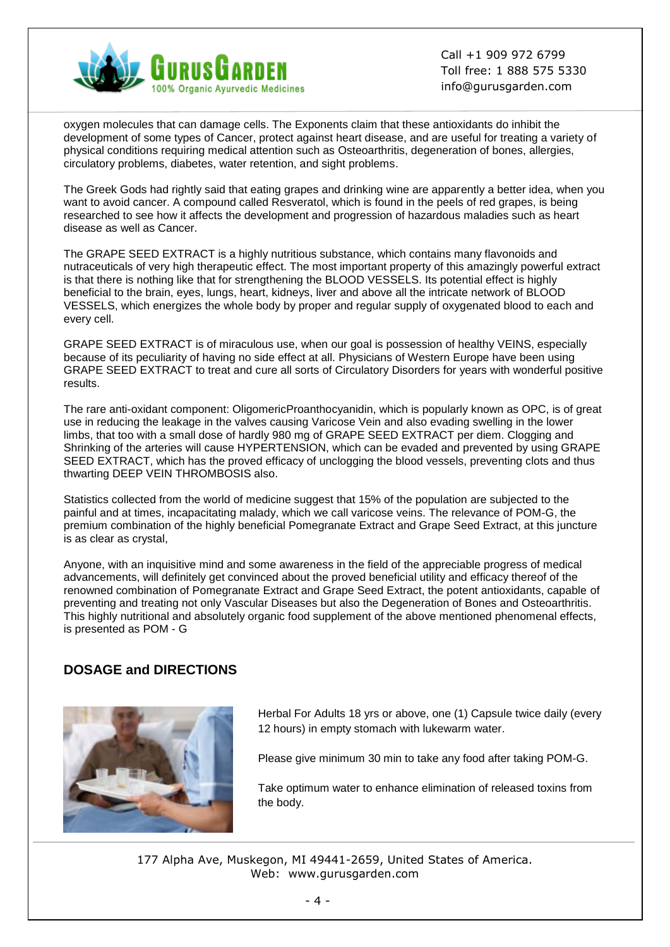

oxygen molecules that can damage cells. The Exponents claim that these antioxidants do inhibit the development of some types of Cancer, protect against heart disease, and are useful for treating a variety of physical conditions requiring medical attention such as Osteoarthritis, degeneration of bones, allergies, circulatory problems, diabetes, water retention, and sight problems.

The Greek Gods had rightly said that eating grapes and drinking wine are apparently a better idea, when you want to avoid cancer. A compound called Resveratol, which is found in the peels of red grapes, is being researched to see how it affects the development and progression of hazardous maladies such as heart disease as well as Cancer.

The GRAPE SEED EXTRACT is a highly nutritious substance, which contains many flavonoids and nutraceuticals of very high therapeutic effect. The most important property of this amazingly powerful extract is that there is nothing like that for strengthening the BLOOD VESSELS. Its potential effect is highly beneficial to the brain, eyes, lungs, heart, kidneys, liver and above all the intricate network of BLOOD VESSELS, which energizes the whole body by proper and regular supply of oxygenated blood to each and every cell.

GRAPE SEED EXTRACT is of miraculous use, when our goal is possession of healthy VEINS, especially because of its peculiarity of having no side effect at all. Physicians of Western Europe have been using GRAPE SEED EXTRACT to treat and cure all sorts of Circulatory Disorders for years with wonderful positive results.

The rare anti-oxidant component: OligomericProanthocyanidin, which is popularly known as OPC, is of great use in reducing the leakage in the valves causing Varicose Vein and also evading swelling in the lower limbs, that too with a small dose of hardly 980 mg of GRAPE SEED EXTRACT per diem. Clogging and Shrinking of the arteries will cause HYPERTENSION, which can be evaded and prevented by using GRAPE SEED EXTRACT, which has the proved efficacy of unclogging the blood vessels, preventing clots and thus thwarting DEEP VEIN THROMBOSIS also.

Statistics collected from the world of medicine suggest that 15% of the population are subjected to the painful and at times, incapacitating malady, which we call varicose veins. The relevance of POM-G, the premium combination of the highly beneficial Pomegranate Extract and Grape Seed Extract, at this juncture is as clear as crystal,

Anyone, with an inquisitive mind and some awareness in the field of the appreciable progress of medical advancements, will definitely get convinced about the proved beneficial utility and efficacy thereof of the renowned combination of Pomegranate Extract and Grape Seed Extract, the potent antioxidants, capable of preventing and treating not only Vascular Diseases but also the Degeneration of Bones and Osteoarthritis. This highly nutritional and absolutely organic food supplement of the above mentioned phenomenal effects, is presented as POM - G

# **DOSAGE and DIRECTIONS**



Herbal For Adults 18 yrs or above, one (1) Capsule twice daily (every 12 hours) in empty stomach with lukewarm water.

Please give minimum 30 min to take any food after taking POM-G.

Take optimum water to enhance elimination of released toxins from the body.